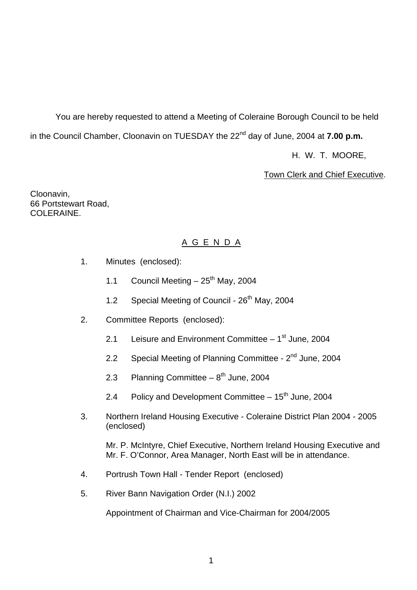You are hereby requested to attend a Meeting of Coleraine Borough Council to be held in the Council Chamber, Cloonavin on TUESDAY the 22<sup>nd</sup> day of June, 2004 at **7.00 p.m.** 

H. W. T. MOORE,

Town Clerk and Chief Executive.

Cloonavin, 66 Portstewart Road, COLERAINE.

## A G E N D A

- 1. Minutes (enclosed):
	- 1.1 Council Meeting  $-25$ <sup>th</sup> May, 2004
	- 1.2 Special Meeting of Council 26<sup>th</sup> May, 2004
- 2. Committee Reports (enclosed):
	- 2.1 Leisure and Environment Committee  $-1<sup>st</sup>$  June, 2004
	- 2.2 Special Meeting of Planning Committee 2<sup>nd</sup> June, 2004
	- 2.3 Planning Committee  $-8<sup>th</sup>$  June, 2004
	- 2.4 Policy and Development Committee  $-15<sup>th</sup>$  June, 2004
- 3. Northern Ireland Housing Executive Coleraine District Plan 2004 2005 (enclosed)

 Mr. P. McIntyre, Chief Executive, Northern Ireland Housing Executive and Mr. F. O'Connor, Area Manager, North East will be in attendance.

- 4. Portrush Town Hall Tender Report (enclosed)
- 5. River Bann Navigation Order (N.I.) 2002

Appointment of Chairman and Vice-Chairman for 2004/2005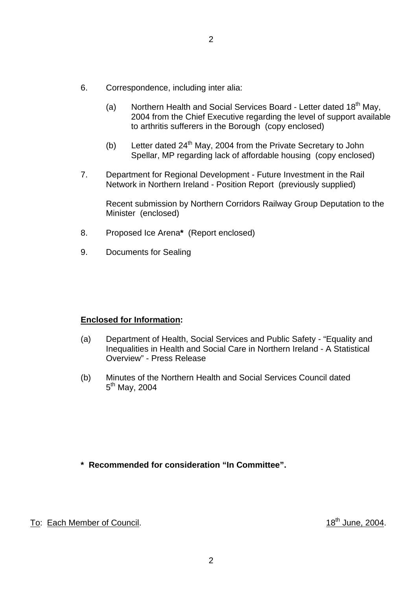- (a) Northern Health and Social Services Board Letter dated 18<sup>th</sup> May, 2004 from the Chief Executive regarding the level of support available to arthritis sufferers in the Borough (copy enclosed)
- (b) Letter dated  $24^{th}$  May, 2004 from the Private Secretary to John Spellar, MP regarding lack of affordable housing (copy enclosed)
- 7. Department for Regional Development Future Investment in the Rail Network in Northern Ireland - Position Report (previously supplied)

 Recent submission by Northern Corridors Railway Group Deputation to the Minister (enclosed)

- 8. Proposed Ice Arena**\*** (Report enclosed)
- 9. Documents for Sealing

## **Enclosed for Information:**

- (a) Department of Health, Social Services and Public Safety "Equality and Inequalities in Health and Social Care in Northern Ireland - A Statistical Overview" - Press Release
- (b) Minutes of the Northern Health and Social Services Council dated  $5^{th}$  Mav, 2004

## **\* Recommended for consideration "In Committee".**

## To: Each Member of Council. 18th June, 2004.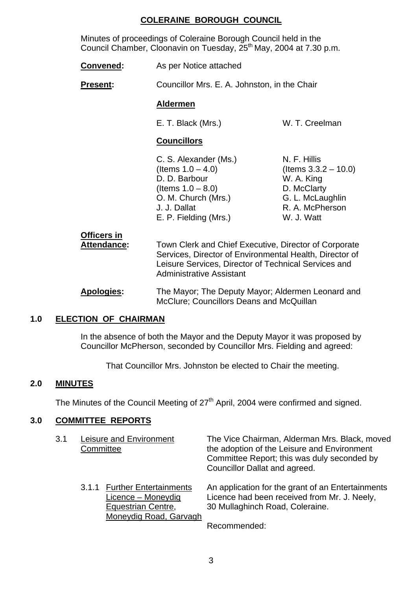## **COLERAINE BOROUGH COUNCIL**

 Minutes of proceedings of Coleraine Borough Council held in the Council Chamber, Cloonavin on Tuesday, 25<sup>th</sup> May, 2004 at 7.30 p.m.

**Convened:** As per Notice attached

**Present:** Councillor Mrs. E. A. Johnston, in the Chair

## **Aldermen**

E. T. Black (Mrs.) W. T. Creelman

## **Councillors**

C. S. Alexander (Ms.) N. F. Hillis  $($ ltems  $1.0 - 4.0)$   $($ ltems  $3.3.2 - 10.0)$ D. D. Barbour W. A. King  $($ ltems  $1.0 - 8.0)$  D. McClarty O. M. Church (Mrs.) G. L. McLaughlin J. J. Dallat R. A. McPherson E. P. Fielding (Mrs.) W. J. Watt

# **Officers in**

 **Attendance:** Town Clerk and Chief Executive, Director of Corporate Services, Director of Environmental Health, Director of Leisure Services, Director of Technical Services and Administrative Assistant

 **Apologies:** The Mayor; The Deputy Mayor; Aldermen Leonard and McClure; Councillors Deans and McQuillan

## **1.0 ELECTION OF CHAIRMAN**

In the absence of both the Mayor and the Deputy Mayor it was proposed by Councillor McPherson, seconded by Councillor Mrs. Fielding and agreed:

That Councillor Mrs. Johnston be elected to Chair the meeting.

## **2.0 MINUTES**

The Minutes of the Council Meeting of 27<sup>th</sup> April, 2004 were confirmed and signed.

## **3.0 COMMITTEE REPORTS**

| 3.1 | Committee | Leisure and Environment                                                                                   | The Vice Chairman, Alderman Mrs. Black, moved<br>the adoption of the Leisure and Environment<br>Committee Report; this was duly seconded by<br>Councillor Dallat and agreed. |
|-----|-----------|-----------------------------------------------------------------------------------------------------------|------------------------------------------------------------------------------------------------------------------------------------------------------------------------------|
|     |           | 3.1.1 Further Entertainments<br>Licence – Moneydig<br><b>Equestrian Centre,</b><br>Moneydig Road, Garvagh | An application for the grant of an Entertainments<br>Licence had been received from Mr. J. Neely,<br>30 Mullaghinch Road, Coleraine.                                         |
|     |           |                                                                                                           | Recommended:                                                                                                                                                                 |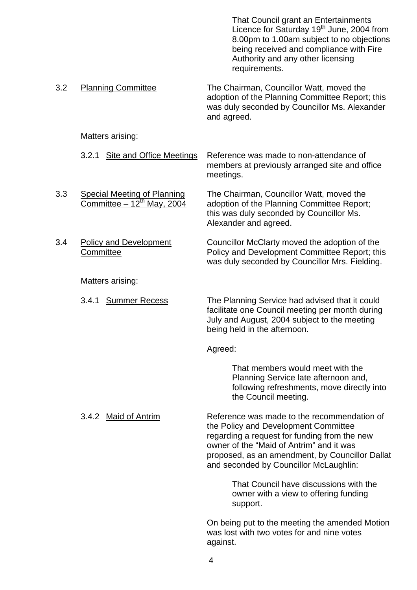That Council grant an Entertainments Licence for Saturday  $19<sup>th</sup>$  June, 2004 from 8.00pm to 1.00am subject to no objections being received and compliance with Fire Authority and any other licensing requirements.

 3.2 Planning Committee The Chairman, Councillor Watt, moved the adoption of the Planning Committee Report; this was duly seconded by Councillor Ms. Alexander and agreed.

Matters arising:

- 3.2.1 Site and Office Meetings Reference was made to non-attendance of members at previously arranged site and office meetings.
- 3.3 Special Meeting of Planning The Chairman, Councillor Watt, moved the Committee  $-12^{th}$  May, 2004 adoption of the Planning Committee Report; this was duly seconded by Councillor Ms. Alexander and agreed.
- 3.4 Policy and Development Councillor McClarty moved the adoption of the Committee **Committee** Policy and Development Committee Report; this was duly seconded by Councillor Mrs. Fielding.

Matters arising:

 3.4.1 Summer Recess The Planning Service had advised that it could facilitate one Council meeting per month during July and August, 2004 subject to the meeting being held in the afternoon.

Agreed:

 That members would meet with the Planning Service late afternoon and, following refreshments, move directly into the Council meeting.

 3.4.2 Maid of Antrim Reference was made to the recommendation of the Policy and Development Committee regarding a request for funding from the new owner of the "Maid of Antrim" and it was proposed, as an amendment, by Councillor Dallat and seconded by Councillor McLaughlin:

> That Council have discussions with the owner with a view to offering funding support.

 On being put to the meeting the amended Motion was lost with two votes for and nine votes against.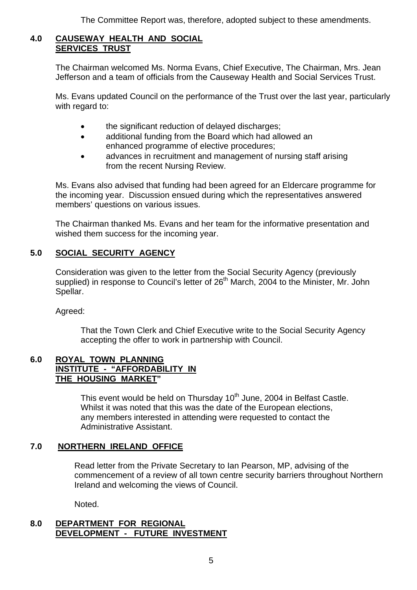The Committee Report was, therefore, adopted subject to these amendments.

## **4.0 CAUSEWAY HEALTH AND SOCIAL SERVICES TRUST**

The Chairman welcomed Ms. Norma Evans, Chief Executive, The Chairman, Mrs. Jean Jefferson and a team of officials from the Causeway Health and Social Services Trust.

Ms. Evans updated Council on the performance of the Trust over the last year, particularly with regard to:

- the significant reduction of delayed discharges;
- additional funding from the Board which had allowed an enhanced programme of elective procedures;
- advances in recruitment and management of nursing staff arising from the recent Nursing Review.

Ms. Evans also advised that funding had been agreed for an Eldercare programme for the incoming year. Discussion ensued during which the representatives answered members' questions on various issues.

The Chairman thanked Ms. Evans and her team for the informative presentation and wished them success for the incoming year.

## **5.0 SOCIAL SECURITY AGENCY**

 Consideration was given to the letter from the Social Security Agency (previously supplied) in response to Council's letter of 26<sup>th</sup> March, 2004 to the Minister, Mr. John Spellar.

Agreed:

 That the Town Clerk and Chief Executive write to the Social Security Agency accepting the offer to work in partnership with Council.

#### **6.0 ROYAL TOWN PLANNING INSTITUTE - "AFFORDABILITY IN THE HOUSING MARKET"**

This event would be held on Thursday 10<sup>th</sup> June, 2004 in Belfast Castle. Whilst it was noted that this was the date of the European elections, any members interested in attending were requested to contact the Administrative Assistant.

## **7.0 NORTHERN IRELAND OFFICE**

Read letter from the Private Secretary to Ian Pearson, MP, advising of the commencement of a review of all town centre security barriers throughout Northern Ireland and welcoming the views of Council.

Noted.

## **8.0 DEPARTMENT FOR REGIONAL DEVELOPMENT - FUTURE INVESTMENT**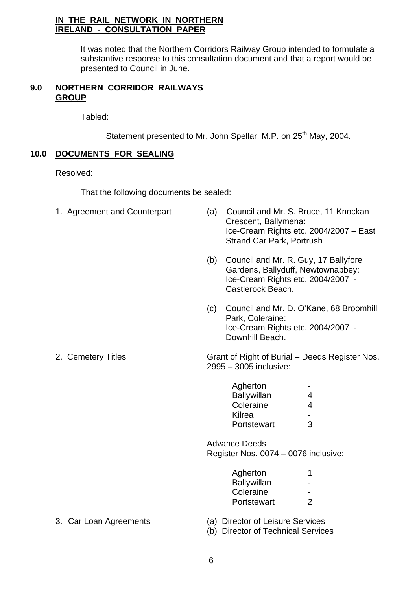### **IN THE RAIL NETWORK IN NORTHERN IRELAND - CONSULTATION PAPER**

It was noted that the Northern Corridors Railway Group intended to formulate a substantive response to this consultation document and that a report would be presented to Council in June.

## **9.0 NORTHERN CORRIDOR RAILWAYS GROUP**

Tabled:

Statement presented to Mr. John Spellar, M.P. on 25<sup>th</sup> May, 2004.

## **10.0 DOCUMENTS FOR SEALING**

Resolved:

That the following documents be sealed:

| 1. Agreement and Counterpart | (a) | Council and Mr. S. Bruce, 11 Knockan<br>Crescent, Ballymena:<br>Ice-Cream Rights etc. 2004/2007 - East<br><b>Strand Car Park, Portrush</b> |
|------------------------------|-----|--------------------------------------------------------------------------------------------------------------------------------------------|
|                              | (b) | Council and Mr. R. Guy, 17 Ballyfore<br>Gardens, Ballyduff, Newtownabbey:<br>Ice-Cream Rights etc. 2004/2007 -<br>Castlerock Beach.        |
|                              | (c) | Council and Mr. D. O'Kane, 68 Broomhill<br>Park, Coleraine:<br>Ice-Cream Rights etc. 2004/2007 -<br>Downhill Beach.                        |
| 2. Cemetery Titles           |     | Grant of Right of Burial – Deeds Register Nos.<br>2995 - 3005 inclusive:                                                                   |
|                              |     | Agherton<br><b>Ballywillan</b><br>4<br>Coleraine<br>$\overline{4}$<br>Kilrea<br>3<br>Portstewart                                           |
|                              |     | <b>Advance Deeds</b><br>Register Nos. 0074 - 0076 inclusive:                                                                               |
|                              |     | Agherton<br>1<br><b>Ballywillan</b><br>Coleraine<br>$\overline{2}$<br>Portstewart                                                          |
| 3. Car Loan Agreements       |     | (a) Director of Leisure Services                                                                                                           |

- 
- 
- (b) Director of Technical Services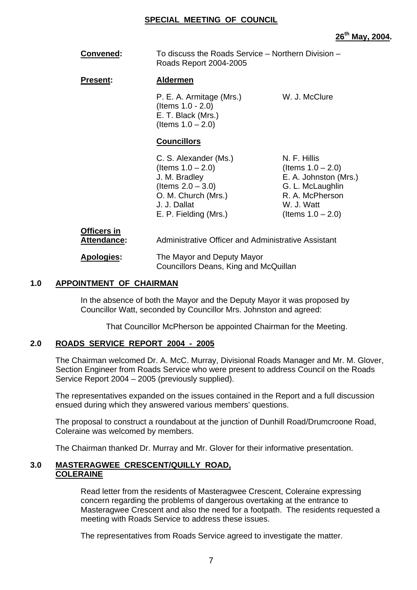#### **SPECIAL MEETING OF COUNCIL**

| Convened: | To discuss the Roads Service $-$ Northern Division $-$ |
|-----------|--------------------------------------------------------|
|           | Roads Report 2004-2005                                 |

#### **Present: Aldermen**

P. E. A. Armitage (Mrs.) W. J. McClure (Items 1.0 - 2.0) E. T. Black (Mrs.) (Items  $1.0 - 2.0$ )

#### **Councillors**

|             | C. S. Alexander (Ms.) | N. F. Hillis          |
|-------------|-----------------------|-----------------------|
|             | (Items $1.0 - 2.0$ )  | (Items $1.0 - 2.0$ )  |
|             | J. M. Bradley         | E. A. Johnston (Mrs.) |
|             | (Items $2.0 - 3.0$ )  | G. L. McLaughlin      |
|             | O. M. Church (Mrs.)   | R. A. McPherson       |
|             | J. J. Dallat          | W. J. Watt            |
|             | E. P. Fielding (Mrs.) | (Items $1.0 - 2.0$ )  |
| Officers in |                       |                       |

| Attendance: | Administrative Officer and Administrative Assistant |
|-------------|-----------------------------------------------------|
| Apologies:  | The Mayor and Deputy Mayor                          |

## Councillors Deans, King and McQuillan

## **1.0 APPOINTMENT OF CHAIRMAN**

 In the absence of both the Mayor and the Deputy Mayor it was proposed by Councillor Watt, seconded by Councillor Mrs. Johnston and agreed:

That Councillor McPherson be appointed Chairman for the Meeting.

## **2.0 ROADS SERVICE REPORT 2004 - 2005**

 The Chairman welcomed Dr. A. McC. Murray, Divisional Roads Manager and Mr. M. Glover, Section Engineer from Roads Service who were present to address Council on the Roads Service Report 2004 – 2005 (previously supplied).

 The representatives expanded on the issues contained in the Report and a full discussion ensued during which they answered various members' questions.

 The proposal to construct a roundabout at the junction of Dunhill Road/Drumcroone Road, Coleraine was welcomed by members.

The Chairman thanked Dr. Murray and Mr. Glover for their informative presentation.

#### **3.0 MASTERAGWEE CRESCENT/QUILLY ROAD, COLERAINE**

 Read letter from the residents of Masteragwee Crescent, Coleraine expressing concern regarding the problems of dangerous overtaking at the entrance to Masteragwee Crescent and also the need for a footpath. The residents requested a meeting with Roads Service to address these issues.

The representatives from Roads Service agreed to investigate the matter.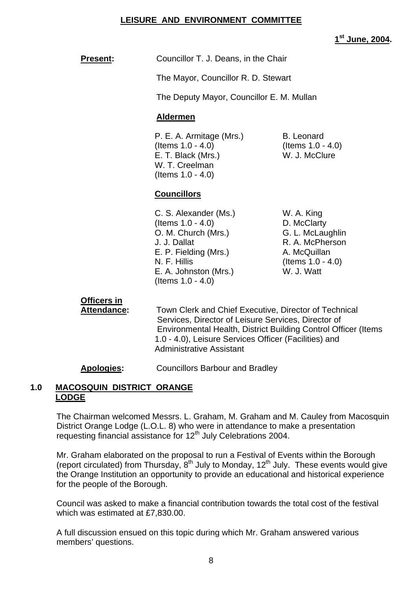### **LEISURE AND ENVIRONMENT COMMITTEE**

**1st June, 2004.** 

## **Present:** Councillor T. J. Deans, in the Chair

The Mayor, Councillor R. D. Stewart

The Deputy Mayor, Councillor E. M. Mullan

#### **Aldermen**

P. E. A. Armitage (Mrs.) B. Leonard (Items 1.0 - 4.0) (Items 1.0 - 4.0) E. T. Black (Mrs.) W. J. McClure W. T. Creelman (Items 1.0 - 4.0)

## **Councillors**

C. S. Alexander (Ms.) W. A. King (Items 1.0 - 4.0) D. McClarty O. M. Church (Mrs.) **G. L. McLaughlin** J. J. Dallat R. A. McPherson E. P. Fielding (Mrs.) A. McQuillan N. F. Hillis (Items 1.0 - 4.0) E. A. Johnston (Mrs.) W. J. Watt (Items 1.0 - 4.0)

## **Officers in**

Attendance: Town Clerk and Chief Executive, Director of Technical Services, Director of Leisure Services, Director of Environmental Health, District Building Control Officer (Items 1.0 - 4.0), Leisure Services Officer (Facilities) and Administrative Assistant

## **Apologies:** Councillors Barbour and Bradley

## **1.0 MACOSQUIN DISTRICT ORANGE LODGE**

The Chairman welcomed Messrs. L. Graham, M. Graham and M. Cauley from Macosquin District Orange Lodge (L.O.L. 8) who were in attendance to make a presentation requesting financial assistance for 12<sup>th</sup> July Celebrations 2004.

Mr. Graham elaborated on the proposal to run a Festival of Events within the Borough (report circulated) from Thursday,  $8^{th}$  July to Monday, 12<sup>th</sup> July. These events would give the Orange Institution an opportunity to provide an educational and historical experience for the people of the Borough.

Council was asked to make a financial contribution towards the total cost of the festival which was estimated at £7,830.00.

A full discussion ensued on this topic during which Mr. Graham answered various members' questions.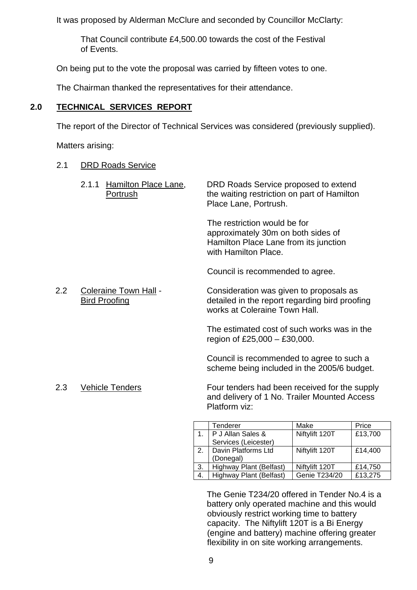It was proposed by Alderman McClure and seconded by Councillor McClarty:

 That Council contribute £4,500.00 towards the cost of the Festival of Events.

On being put to the vote the proposal was carried by fifteen votes to one.

The Chairman thanked the representatives for their attendance.

## **2.0 TECHNICAL SERVICES REPORT**

The report of the Director of Technical Services was considered (previously supplied).

Matters arising:

## 2.1 DRD Roads Service

|     | Hamilton Place Lane,<br>2.1.1<br>Portrush     | DRD Roads Service proposed to extend<br>the waiting restriction on part of Hamilton<br>Place Lane, Portrush.                        |
|-----|-----------------------------------------------|-------------------------------------------------------------------------------------------------------------------------------------|
|     |                                               | The restriction would be for<br>approximately 30m on both sides of<br>Hamilton Place Lane from its junction<br>with Hamilton Place. |
|     |                                               | Council is recommended to agree.                                                                                                    |
| 2.2 | Coleraine Town Hall -<br><b>Bird Proofing</b> | Consideration was given to proposals as<br>detailed in the report regarding bird proofing<br>works at Coleraine Town Hall.          |
|     |                                               | The estimated cost of such works was in the<br>region of £25,000 $-$ £30,000.                                                       |
|     |                                               | Council is recommended to agree to such a                                                                                           |

2.3 Vehicle Tenders **Four tenders had been received for the supply** and delivery of 1 No. Trailer Mounted Access Platform viz:

scheme being included in the 2005/6 budget.

|    | Tenderer                | Make           | Price   |
|----|-------------------------|----------------|---------|
|    | P J Allan Sales &       | Niftylift 120T | £13,700 |
|    | Services (Leicester)    |                |         |
| 2. | Davin Platforms Ltd     | Niftylift 120T | £14,400 |
|    | (Donegal)               |                |         |
| 3. | Highway Plant (Belfast) | Niftylift 120T | £14,750 |
| 4. | Highway Plant (Belfast) | Genie T234/20  | £13,275 |

The Genie T234/20 offered in Tender No.4 is a battery only operated machine and this would obviously restrict working time to battery capacity. The Niftylift 120T is a Bi Energy (engine and battery) machine offering greater flexibility in on site working arrangements.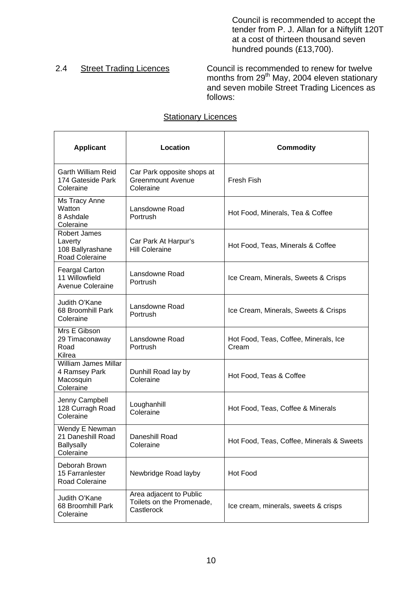Council is recommended to accept the tender from P. J. Allan for a Niftylift 120T at a cost of thirteen thousand seven hundred pounds (£13,700).

2.4 Street Trading Licences Council is recommended to renew for twelve months from 29<sup>th</sup> May, 2004 eleven stationary and seven mobile Street Trading Licences as follows:

| <b>Applicant</b>                                                            | Location                                                            | <b>Commodity</b>                               |
|-----------------------------------------------------------------------------|---------------------------------------------------------------------|------------------------------------------------|
| <b>Garth William Reid</b><br>174 Gateside Park<br>Coleraine                 | Car Park opposite shops at<br><b>Greenmount Avenue</b><br>Coleraine | Fresh Fish                                     |
| Ms Tracy Anne<br>Watton<br>8 Ashdale<br>Coleraine                           | Lansdowne Road<br>Portrush                                          | Hot Food, Minerals, Tea & Coffee               |
| <b>Robert James</b><br>Laverty<br>108 Ballyrashane<br><b>Road Coleraine</b> | Car Park At Harpur's<br><b>Hill Coleraine</b>                       | Hot Food, Teas, Minerals & Coffee              |
| <b>Feargal Carton</b><br>11 Willowfield<br><b>Avenue Coleraine</b>          | Lansdowne Road<br>Portrush                                          | Ice Cream, Minerals, Sweets & Crisps           |
| Judith O'Kane<br>68 Broomhill Park<br>Coleraine                             | Lansdowne Road<br>Portrush                                          | Ice Cream, Minerals, Sweets & Crisps           |
| Mrs E Gibson<br>29 Timaconaway<br>Road<br>Kilrea                            | Lansdowne Road<br>Portrush                                          | Hot Food, Teas, Coffee, Minerals, Ice<br>Cream |
| William James Millar<br>4 Ramsey Park<br>Macosquin<br>Coleraine             | Dunhill Road lay by<br>Coleraine                                    | Hot Food, Teas & Coffee                        |
| Jenny Campbell<br>128 Curragh Road<br>Coleraine                             | Loughanhill<br>Coleraine                                            | Hot Food, Teas, Coffee & Minerals              |
| Wendy E Newman<br>21 Daneshill Road<br>Ballysally<br>Coleraine              | Daneshill Road<br>Coleraine                                         | Hot Food, Teas, Coffee, Minerals & Sweets      |
| Deborah Brown<br>15 Farranlester<br>Road Coleraine                          | Newbridge Road layby                                                | Hot Food                                       |
| Judith O'Kane<br>68 Broomhill Park<br>Coleraine                             | Area adjacent to Public<br>Toilets on the Promenade,<br>Castlerock  | Ice cream, minerals, sweets & crisps           |

#### **Stationary Licences**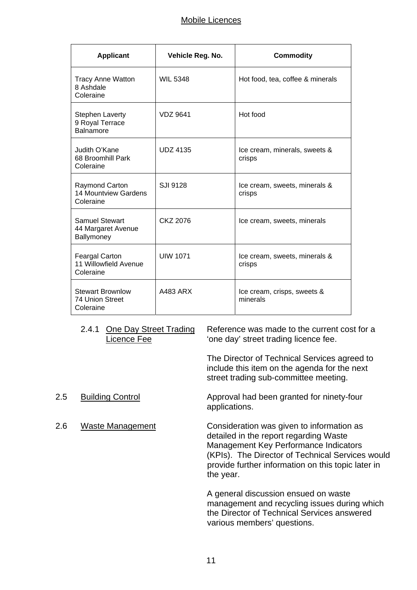## Mobile Licences

| <b>Applicant</b>                                              | Vehicle Reg. No. | <b>Commodity</b>                        |
|---------------------------------------------------------------|------------------|-----------------------------------------|
| <b>Tracy Anne Watton</b><br>8 Ashdale<br>Coleraine            | <b>WIL 5348</b>  | Hot food, tea, coffee & minerals        |
| <b>Stephen Laverty</b><br>9 Royal Terrace<br><b>Balnamore</b> | <b>VDZ 9641</b>  | Hot food                                |
| Judith O'Kane<br>68 Broomhill Park<br>Coleraine               | <b>UDZ 4135</b>  | Ice cream, minerals, sweets &<br>crisps |
| Raymond Carton<br><b>14 Mountview Gardens</b><br>Coleraine    | SJI 9128         | Ice cream, sweets, minerals &<br>crisps |
| <b>Samuel Stewart</b><br>44 Margaret Avenue<br>Ballymoney     | CKZ 2076         | Ice cream, sweets, minerals             |
| Feargal Carton<br>11 Willowfield Avenue<br>Coleraine          | <b>UIW 1071</b>  | Ice cream, sweets, minerals &<br>crisps |
| <b>Stewart Brownlow</b><br>74 Union Street<br>Coleraine       | A483 ARX         | Ice cream, crisps, sweets &<br>minerals |

2.4.1 One Day Street Trading Reference was made to the current cost for a Licence Fee 'one day' street trading licence fee.

> The Director of Technical Services agreed to include this item on the agenda for the next street trading sub-committee meeting.

- 2.5 Building Control **Approval had been granted for ninety-four**
- 

applications. 2.6 Waste Management Consideration was given to information as detailed in the report regarding Waste Management Key Performance Indicators (KPIs). The Director of Technical Services would

provide further information on this topic later in the year.

A general discussion ensued on waste management and recycling issues during which the Director of Technical Services answered various members' questions.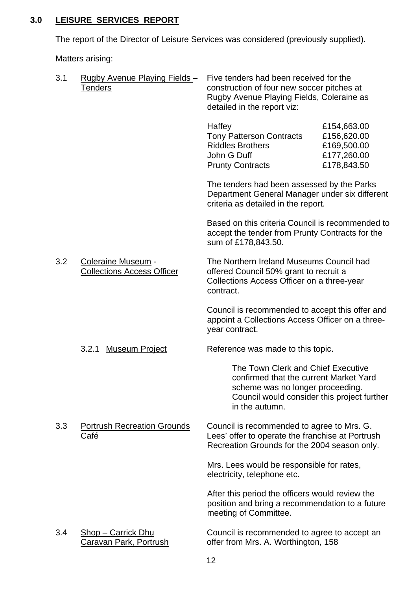## **3.0 LEISURE SERVICES REPORT**

The report of the Director of Leisure Services was considered (previously supplied).

Matters arising:

| 3.1 | Rugby Avenue Playing Fields-<br><u>Tenders</u>          | Five tenders had been received for the<br>construction of four new soccer pitches at<br>Rugby Avenue Playing Fields, Coleraine as<br>detailed in the report viz:                  |                                                                         |
|-----|---------------------------------------------------------|-----------------------------------------------------------------------------------------------------------------------------------------------------------------------------------|-------------------------------------------------------------------------|
|     |                                                         | Haffey<br><b>Tony Patterson Contracts</b><br><b>Riddles Brothers</b><br>John G Duff<br><b>Prunty Contracts</b>                                                                    | £154,663.00<br>£156,620.00<br>£169,500.00<br>£177,260.00<br>£178,843.50 |
|     |                                                         | The tenders had been assessed by the Parks<br>Department General Manager under six different<br>criteria as detailed in the report.                                               |                                                                         |
|     |                                                         | Based on this criteria Council is recommended to<br>accept the tender from Prunty Contracts for the<br>sum of £178,843.50.                                                        |                                                                         |
| 3.2 | Coleraine Museum -<br><b>Collections Access Officer</b> | The Northern Ireland Museums Council had<br>offered Council 50% grant to recruit a<br>Collections Access Officer on a three-year<br>contract.                                     |                                                                         |
|     |                                                         | Council is recommended to accept this offer and<br>appoint a Collections Access Officer on a three-<br>year contract.                                                             |                                                                         |
|     | <b>Museum Project</b><br>3.2.1                          | Reference was made to this topic.                                                                                                                                                 |                                                                         |
|     |                                                         | The Town Clerk and Chief Executive<br>confirmed that the current Market Yard<br>scheme was no longer proceeding.<br>Council would consider this project further<br>in the autumn. |                                                                         |
| 3.3 | <b>Portrush Recreation Grounds</b><br>Café              | Council is recommended to agree to Mrs. G.<br>Lees' offer to operate the franchise at Portrush<br>Recreation Grounds for the 2004 season only.                                    |                                                                         |
|     |                                                         | Mrs. Lees would be responsible for rates,<br>electricity, telephone etc.                                                                                                          |                                                                         |
|     |                                                         | After this period the officers would review the<br>position and bring a recommendation to a future<br>meeting of Committee.                                                       |                                                                         |
| 3.4 | Shop - Carrick Dhu<br><b>Caravan Park, Portrush</b>     | Council is recommended to agree to accept an<br>offer from Mrs. A. Worthington, 158                                                                                               |                                                                         |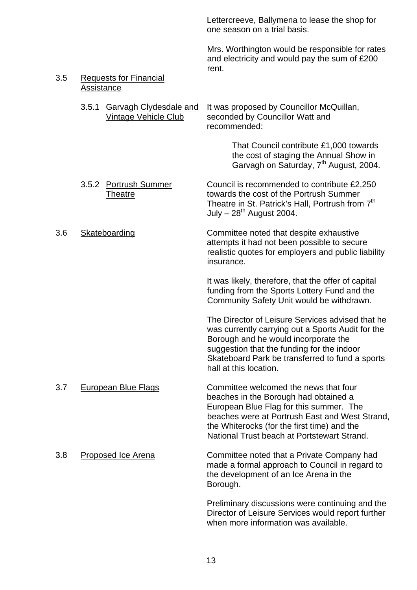Lettercreeve, Ballymena to lease the shop for one season on a trial basis.

Mrs. Worthington would be responsible for rates and electricity and would pay the sum of £200 rent.

## 3.5 Requests for Financial Assistance

3.5.1 Garvagh Clydesdale and It was proposed by Councillor McQuillan, Vintage Vehicle Club seconded by Councillor Watt and recommended:

> That Council contribute £1,000 towards the cost of staging the Annual Show in Garvagh on Saturday, 7<sup>th</sup> August, 2004.

- 3.5.2 Portrush Summer Council is recommended to contribute £2,250 Theatre towards the cost of the Portrush Summer Theatre in St. Patrick's Hall, Portrush from 7<sup>th</sup> July  $-28^{th}$  August 2004.
- 3.6 Skateboarding Committee noted that despite exhaustive attempts it had not been possible to secure realistic quotes for employers and public liability insurance.

It was likely, therefore, that the offer of capital funding from the Sports Lottery Fund and the Community Safety Unit would be withdrawn.

The Director of Leisure Services advised that he was currently carrying out a Sports Audit for the Borough and he would incorporate the suggestion that the funding for the indoor Skateboard Park be transferred to fund a sports hall at this location.

- 3.7 European Blue Flags Committee welcomed the news that four beaches in the Borough had obtained a European Blue Flag for this summer. The beaches were at Portrush East and West Strand, the Whiterocks (for the first time) and the National Trust beach at Portstewart Strand.
- 3.8 Proposed Ice Arena Committee noted that a Private Company had made a formal approach to Council in regard to the development of an Ice Arena in the Borough.

Preliminary discussions were continuing and the Director of Leisure Services would report further when more information was available.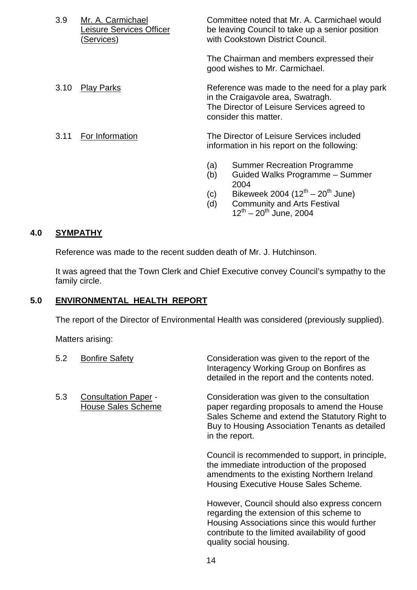| 3.9  | Mr. A. Carmichael<br>Leisure Services Officer<br>(Services) |            | Committee noted that Mr. A. Carmichael would<br>be leaving Council to take up a senior position<br>with Cookstown District Council.                        |
|------|-------------------------------------------------------------|------------|------------------------------------------------------------------------------------------------------------------------------------------------------------|
|      |                                                             |            | The Chairman and members expressed their<br>good wishes to Mr. Carmichael.                                                                                 |
| 3.10 | <b>Play Parks</b>                                           |            | Reference was made to the need for a play park<br>in the Craigavole area, Swatragh.<br>The Director of Leisure Services agreed to<br>consider this matter. |
| 3.11 | For Information                                             |            | The Director of Leisure Services included<br>information in his report on the following:                                                                   |
|      |                                                             | (a)<br>(b) | <b>Summer Recreation Programme</b><br>Guided Walks Programme - Summer<br>2004                                                                              |
|      |                                                             | (c)        | Bikeweek 2004 (12 <sup>th</sup> – 20 <sup>th</sup> June)                                                                                                   |

(d) Community and Arts Festival  $12^{th} - 20^{th}$  June, 2004

## **4.0 SYMPATHY**

Reference was made to the recent sudden death of Mr. J. Hutchinson.

 It was agreed that the Town Clerk and Chief Executive convey Council's sympathy to the family circle.

## **5.0 ENVIRONMENTAL HEALTH REPORT**

The report of the Director of Environmental Health was considered (previously supplied).

Matters arising:

| 5.2 | <b>Bonfire Safety</b>                                    | Consideration was given to the report of the<br>Interagency Working Group on Bonfires as<br>detailed in the report and the contents noted.                                                                        |
|-----|----------------------------------------------------------|-------------------------------------------------------------------------------------------------------------------------------------------------------------------------------------------------------------------|
| 5.3 | <b>Consultation Paper -</b><br><b>House Sales Scheme</b> | Consideration was given to the consultation<br>paper regarding proposals to amend the House<br>Sales Scheme and extend the Statutory Right to<br>Buy to Housing Association Tenants as detailed<br>in the report. |
|     |                                                          | Council is recommended to support, in principle,<br>the immediate introduction of the proposed<br>amendments to the existing Northern Ireland<br>Housing Executive House Sales Scheme.                            |
|     |                                                          | However, Council should also express concern<br>regarding the extension of this scheme to<br>Housing Associations since this would further<br>contribute to the limited availability of good                      |

quality social housing.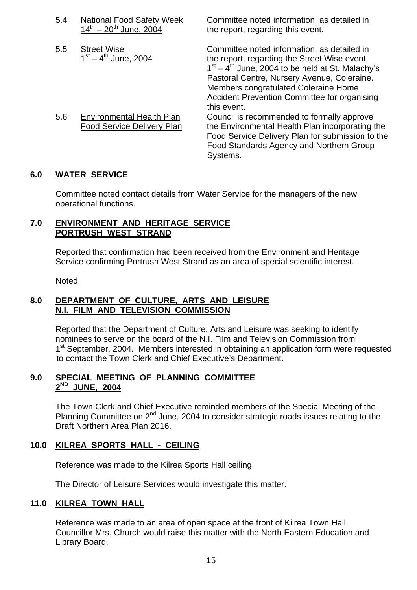| 5.4 | <b>National Food Safety Week</b> |  |
|-----|----------------------------------|--|
|     | $14^{th} - 20^{th}$ June, 2004   |  |

Committee noted information, as detailed in the report, regarding this event.

 5.5 Street Wise Committee noted information, as detailed in  $1<sup>st</sup> - 4<sup>th</sup>$  June, 2004 the report, regarding the Street Wise event  $1<sup>st</sup> - 4<sup>th</sup>$  June, 2004 to be held at St. Malachy's Pastoral Centre, Nursery Avenue, Coleraine. Members congratulated Coleraine Home Accident Prevention Committee for organising this event.

5.6 Environmental Health Plan Council is recommended to formally approve Food Service Delivery Plan the Environmental Health Plan incorporating the Food Service Delivery Plan for submission to the Food Standards Agency and Northern Group

## **6.0 WATER SERVICE**

 Committee noted contact details from Water Service for the managers of the new operational functions.

Systems.

## **7.0 ENVIRONMENT AND HERITAGE SERVICE PORTRUSH WEST STRAND**

 Reported that confirmation had been received from the Environment and Heritage Service confirming Portrush West Strand as an area of special scientific interest.

Noted.

## **8.0 DEPARTMENT OF CULTURE, ARTS AND LEISURE N.I. FILM AND TELEVISION COMMISSION**

 Reported that the Department of Culture, Arts and Leisure was seeking to identify nominees to serve on the board of the N.I. Film and Television Commission from 1<sup>st</sup> September, 2004. Members interested in obtaining an application form were requested to contact the Town Clerk and Chief Executive's Department.

## **9.0 SPECIAL MEETING OF PLANNING COMMITTEE 2ND JUNE, 2004**

 The Town Clerk and Chief Executive reminded members of the Special Meeting of the Planning Committee on 2<sup>nd</sup> June, 2004 to consider strategic roads issues relating to the Draft Northern Area Plan 2016.

## **10.0 KILREA SPORTS HALL - CEILING**

Reference was made to the Kilrea Sports Hall ceiling.

The Director of Leisure Services would investigate this matter.

## **11.0 KILREA TOWN HALL**

 Reference was made to an area of open space at the front of Kilrea Town Hall. Councillor Mrs. Church would raise this matter with the North Eastern Education and Library Board.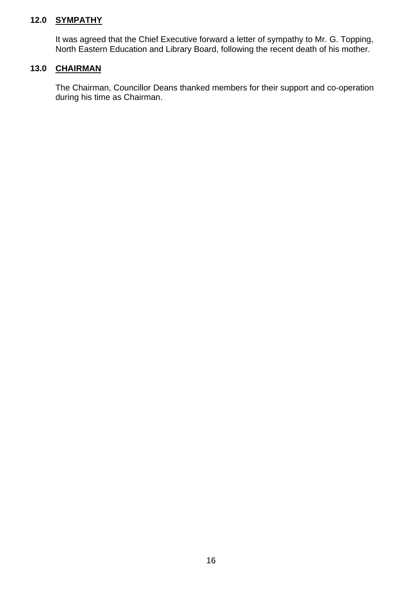## **12.0 SYMPATHY**

 It was agreed that the Chief Executive forward a letter of sympathy to Mr. G. Topping, North Eastern Education and Library Board, following the recent death of his mother.

## **13.0 CHAIRMAN**

The Chairman, Councillor Deans thanked members for their support and co-operation during his time as Chairman.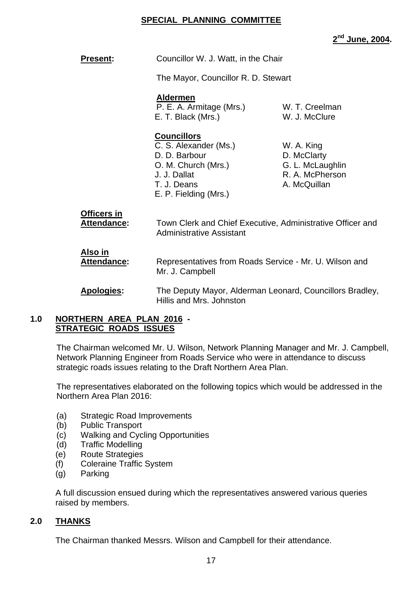## **SPECIAL PLANNING COMMITTEE**

**2nd June, 2004.** 

| <b>Present:</b>                   | Councillor W. J. Watt, in the Chair<br>The Mayor, Councillor R. D. Stewart                                                                  |                                                                                  |
|-----------------------------------|---------------------------------------------------------------------------------------------------------------------------------------------|----------------------------------------------------------------------------------|
|                                   |                                                                                                                                             |                                                                                  |
|                                   | <b>Aldermen</b><br>P. E. A. Armitage (Mrs.)<br>E. T. Black (Mrs.)                                                                           | W. T. Creelman<br>W. J. McClure                                                  |
|                                   | <b>Councillors</b><br>C. S. Alexander (Ms.)<br>D. D. Barbour<br>O. M. Church (Mrs.)<br>J. J. Dallat<br>T. J. Deans<br>E. P. Fielding (Mrs.) | W. A. King<br>D. McClarty<br>G. L. McLaughlin<br>R. A. McPherson<br>A. McQuillan |
| <b>Officers in</b><br>Attendance: | Town Clerk and Chief Executive, Administrative Officer and<br><b>Administrative Assistant</b>                                               |                                                                                  |
| Also in<br><b>Attendance:</b>     | Representatives from Roads Service - Mr. U. Wilson and<br>Mr. J. Campbell                                                                   |                                                                                  |
| Apologies:                        | The Deputy Mayor, Alderman Leonard, Councillors Bradley,                                                                                    |                                                                                  |

## **1.0 NORTHERN AREA PLAN 2016 - STRATEGIC ROADS ISSUES**

The Chairman welcomed Mr. U. Wilson, Network Planning Manager and Mr. J. Campbell, Network Planning Engineer from Roads Service who were in attendance to discuss strategic roads issues relating to the Draft Northern Area Plan.

Hillis and Mrs. Johnston

The representatives elaborated on the following topics which would be addressed in the Northern Area Plan 2016:

- (a) Strategic Road Improvements
- (b) Public Transport
- (c) Walking and Cycling Opportunities
- (d) Traffic Modelling
- (e) Route Strategies
- (f) Coleraine Traffic System
- (g) Parking

A full discussion ensued during which the representatives answered various queries raised by members.

## **2.0 THANKS**

The Chairman thanked Messrs. Wilson and Campbell for their attendance.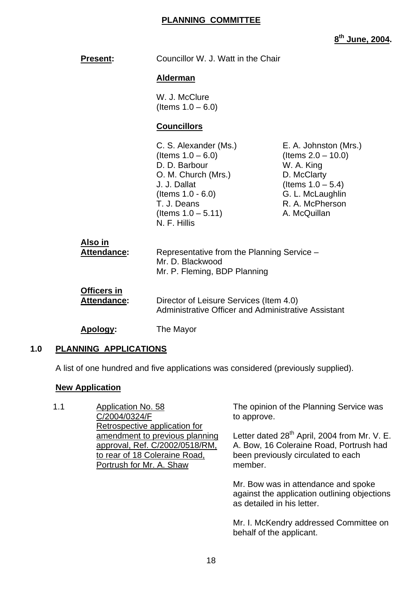## **PLANNING COMMITTEE**

**8th June, 2004.** 

|     |                                          |                                                                                                                                                                                       | 8 <sup>tm</sup> June, 2                                                                                                                                    |
|-----|------------------------------------------|---------------------------------------------------------------------------------------------------------------------------------------------------------------------------------------|------------------------------------------------------------------------------------------------------------------------------------------------------------|
|     | <b>Present:</b>                          | Councillor W. J. Watt in the Chair                                                                                                                                                    |                                                                                                                                                            |
|     |                                          | <b>Alderman</b>                                                                                                                                                                       |                                                                                                                                                            |
|     |                                          | W. J. McClure<br>(Items $1.0 - 6.0$ )                                                                                                                                                 |                                                                                                                                                            |
|     |                                          | <b>Councillors</b>                                                                                                                                                                    |                                                                                                                                                            |
|     |                                          | C. S. Alexander (Ms.)<br>(Items $1.0 - 6.0$ )<br>D. D. Barbour<br>O. M. Church (Mrs.)<br>J. J. Dallat<br>(Items $1.0 - 6.0$ )<br>T. J. Deans<br>(Items $1.0 - 5.11$ )<br>N. F. Hillis | E. A. Johnston (Mrs.)<br>(Items $2.0 - 10.0$ )<br>W. A. King<br>D. McClarty<br>(Items $1.0 - 5.4$ )<br>G. L. McLaughlin<br>R. A. McPherson<br>A. McQuillan |
|     | Also in<br><b>Attendance:</b>            | Representative from the Planning Service -<br>Mr. D. Blackwood<br>Mr. P. Fleming, BDP Planning                                                                                        |                                                                                                                                                            |
|     | <b>Officers in</b><br><b>Attendance:</b> | Director of Leisure Services (Item 4.0)<br>Administrative Officer and Administrative Assistant                                                                                        |                                                                                                                                                            |
|     | Apology:                                 | The Mayor                                                                                                                                                                             |                                                                                                                                                            |
| 1.0 | <b>PLANNING APPLICATIONS</b>             |                                                                                                                                                                                       |                                                                                                                                                            |

A list of one hundred and five applications was considered (previously supplied).

## **New Application**

1.1 Application No. 58 C/2004/0324/F Retrospective application for amendment to previous planning approval, Ref. C/2002/0518/RM, to rear of 18 Coleraine Road, Portrush for Mr. A. Shaw

The opinion of the Planning Service was to approve.

Letter dated 28<sup>th</sup> April, 2004 from Mr. V. E. A. Bow, 16 Coleraine Road, Portrush had been previously circulated to each member.

Mr. Bow was in attendance and spoke against the application outlining objections as detailed in his letter.

Mr. I. McKendry addressed Committee on behalf of the applicant.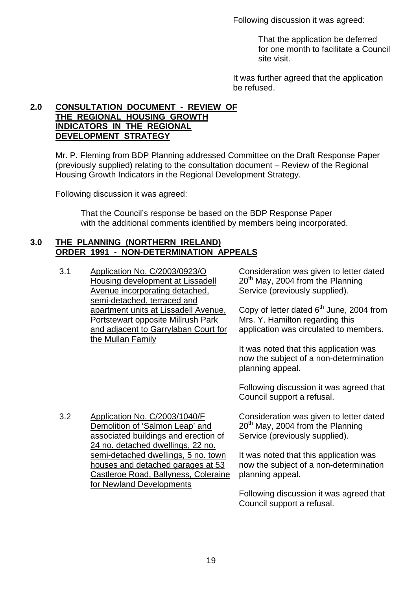Following discussion it was agreed:

 That the application be deferred for one month to facilitate a Council site visit.

It was further agreed that the application be refused.

## **2.0 CONSULTATION DOCUMENT - REVIEW OF THE REGIONAL HOUSING GROWTH INDICATORS IN THE REGIONAL DEVELOPMENT STRATEGY**

 Mr. P. Fleming from BDP Planning addressed Committee on the Draft Response Paper (previously supplied) relating to the consultation document – Review of the Regional Housing Growth Indicators in the Regional Development Strategy.

Following discussion it was agreed:

 That the Council's response be based on the BDP Response Paper with the additional comments identified by members being incorporated.

#### **3.0 THE PLANNING (NORTHERN IRELAND) ORDER 1991 - NON-DETERMINATION APPEALS**

| 3.1 | Application No. C/2003/0923/O           |
|-----|-----------------------------------------|
|     | <b>Housing development at Lissadell</b> |
|     | Avenue incorporating detached,          |
|     | semi-detached, terraced and             |
|     | apartment units at Lissadell Avenue,    |
|     | Portstewart opposite Millrush Park      |
|     | and adjacent to Garrylaban Court for    |
|     | the Mullan Family                       |
|     |                                         |

Consideration was given to letter dated 20<sup>th</sup> May, 2004 from the Planning Service (previously supplied).

Copy of letter dated  $6<sup>th</sup>$  June, 2004 from Mrs. Y. Hamilton regarding this application was circulated to members.

It was noted that this application was now the subject of a non-determination planning appeal.

Following discussion it was agreed that Council support a refusal.

3.2 Application No. C/2003/1040/F Demolition of 'Salmon Leap' and associated buildings and erection of 24 no. detached dwellings, 22 no. semi-detached dwellings, 5 no. town houses and detached garages at 53 Castleroe Road, Ballyness, Coleraine for Newland Developments

Consideration was given to letter dated 20<sup>th</sup> May, 2004 from the Planning Service (previously supplied).

It was noted that this application was now the subject of a non-determination planning appeal.

Following discussion it was agreed that Council support a refusal.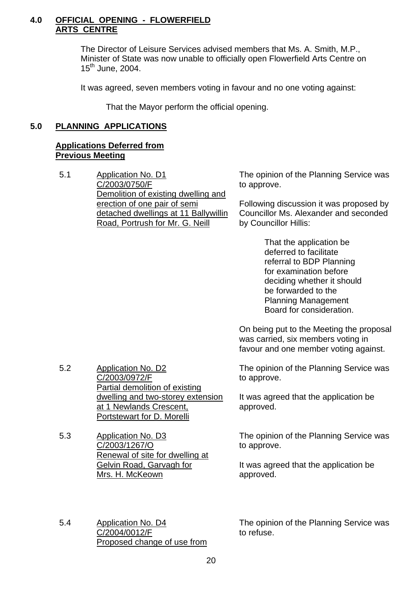## **4.0 OFFICIAL OPENING - FLOWERFIELD ARTS CENTRE**

 The Director of Leisure Services advised members that Ms. A. Smith, M.P., Minister of State was now unable to officially open Flowerfield Arts Centre on  $15^{th}$  June, 2004.

It was agreed, seven members voting in favour and no one voting against:

That the Mayor perform the official opening.

## **5.0 PLANNING APPLICATIONS**

## **Applications Deferred from Previous Meeting**

5.2 Application No. D2

5.3 Application No. D3

C/2003/0972/F

C/2003/1267/O

Mrs. H. McKeown

Partial demolition of existing

Renewal of site for dwelling at Gelvin Road, Garvagh for

at 1 Newlands Crescent, Portstewart for D. Morelli

dwelling and two-storey extension

5.1 Application No. D1 C/2003/0750/F Demolition of existing dwelling and erection of one pair of semi detached dwellings at 11 Ballywillin Road, Portrush for Mr. G. Neill

The opinion of the Planning Service was to approve.

Following discussion it was proposed by Councillor Ms. Alexander and seconded by Councillor Hillis:

> That the application be deferred to facilitate referral to BDP Planning for examination before deciding whether it should be forwarded to the Planning Management Board for consideration.

On being put to the Meeting the proposal was carried, six members voting in favour and one member voting against.

The opinion of the Planning Service was to approve.

It was agreed that the application be approved.

The opinion of the Planning Service was to approve.

It was agreed that the application be approved.

5.4 Application No. D4 C/2004/0012/F Proposed change of use from

The opinion of the Planning Service was to refuse.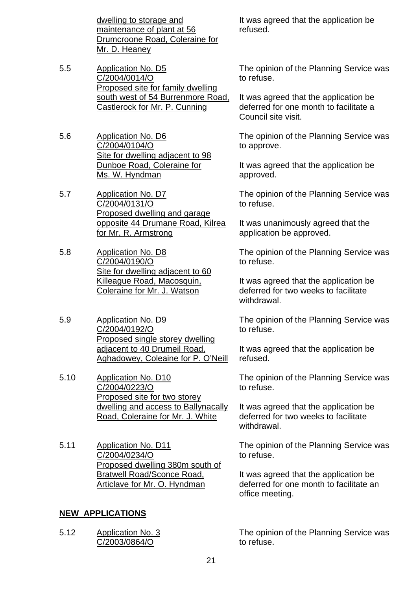dwelling to storage and maintenance of plant at 56 Drumcroone Road, Coleraine for Mr. D. Heaney

- 5.5 Application No. D5 C/2004/0014/O Proposed site for family dwelling south west of 54 Burrenmore Road, Castlerock for Mr. P. Cunning
- 5.6 Application No. D6 C/2004/0104/O Site for dwelling adjacent to 98 Dunboe Road, Coleraine for Ms. W. Hyndman

5.7 Application No. D7 C/2004/0131/O Proposed dwelling and garage opposite 44 Drumane Road, Kilrea for Mr. R. Armstrong

- 5.8 Application No. D8 C/2004/0190/O Site for dwelling adjacent to 60 Killeague Road, Macosquin, Coleraine for Mr. J. Watson
- 5.9 Application No. D9 C/2004/0192/O Proposed single storey dwelling adjacent to 40 Drumeil Road, Aghadowey, Coleaine for P. O'Neill
- 5.10 Application No. D10 C/2004/0223/O Proposed site for two storey dwelling and access to Ballynacally Road, Coleraine for Mr. J. White
- 5.11 Application No. D11 C/2004/0234/O Proposed dwelling 380m south of Bratwell Road/Sconce Road, Articlave for Mr. O. Hyndman

## **NEW APPLICATIONS**

5.12 Application No. 3 C/2003/0864/O

It was agreed that the application be refused.

The opinion of the Planning Service was to refuse.

It was agreed that the application be deferred for one month to facilitate a Council site visit.

The opinion of the Planning Service was to approve.

It was agreed that the application be approved.

The opinion of the Planning Service was to refuse.

It was unanimously agreed that the application be approved.

The opinion of the Planning Service was to refuse.

It was agreed that the application be deferred for two weeks to facilitate withdrawal.

The opinion of the Planning Service was to refuse.

It was agreed that the application be refused.

The opinion of the Planning Service was to refuse.

It was agreed that the application be deferred for two weeks to facilitate withdrawal.

The opinion of the Planning Service was to refuse.

It was agreed that the application be deferred for one month to facilitate an office meeting.

The opinion of the Planning Service was to refuse.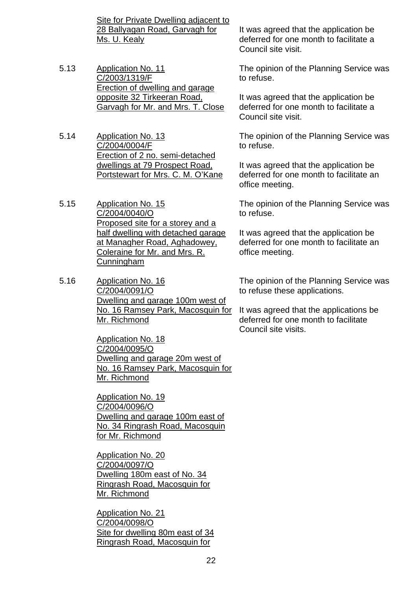Site for Private Dwelling adjacent to 28 Ballyagan Road, Garvagh for Ms. U. Kealy

- 5.13 Application No. 11 C/2003/1319/F Erection of dwelling and garage opposite 32 Tirkeeran Road, Garvagh for Mr. and Mrs. T. Close
- 5.14 Application No. 13 C/2004/0004/F Erection of 2 no. semi-detached dwellings at 79 Prospect Road, Portstewart for Mrs. C. M. O'Kane
- 5.15 Application No. 15 C/2004/0040/O Proposed site for a storey and a half dwelling with detached garage at Managher Road, Aghadowey, Coleraine for Mr. and Mrs. R. **Cunningham**
- 5.16 Application No. 16 C/2004/0091/O Dwelling and garage 100m west of No. 16 Ramsey Park, Macosquin for Mr. Richmond

Application No. 18 C/2004/0095/O Dwelling and garage 20m west of No. 16 Ramsey Park, Macosquin for Mr. Richmond

Application No. 19 C/2004/0096/O Dwelling and garage 100m east of No. 34 Ringrash Road, Macosquin for Mr. Richmond

Application No. 20 C/2004/0097/O Dwelling 180m east of No. 34 Ringrash Road, Macosquin for Mr. Richmond

Application No. 21 C/2004/0098/O Site for dwelling 80m east of 34 Ringrash Road, Macosquin for

It was agreed that the application be deferred for one month to facilitate a Council site visit.

The opinion of the Planning Service was to refuse.

It was agreed that the application be deferred for one month to facilitate a Council site visit.

The opinion of the Planning Service was to refuse.

It was agreed that the application be deferred for one month to facilitate an office meeting.

The opinion of the Planning Service was to refuse.

It was agreed that the application be deferred for one month to facilitate an office meeting.

The opinion of the Planning Service was to refuse these applications.

It was agreed that the applications be deferred for one month to facilitate Council site visits.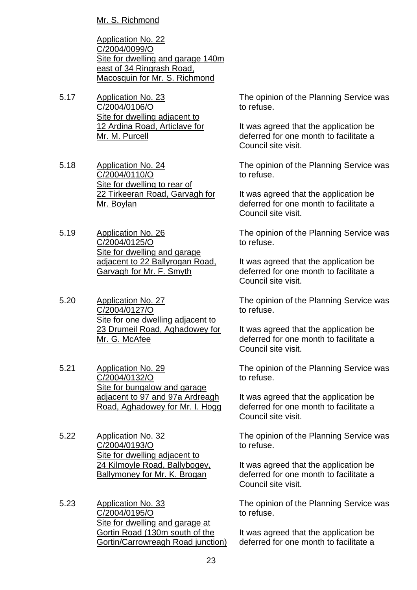Mr. S. Richmond

Application No. 22 C/2004/0099/O Site for dwelling and garage 140m east of 34 Ringrash Road, Macosquin for Mr. S. Richmond

- 5.17 Application No. 23 C/2004/0106/O Site for dwelling adjacent to 12 Ardina Road, Articlave for Mr. M. Purcell
- 5.18 Application No. 24 C/2004/0110/O Site for dwelling to rear of 22 Tirkeeran Road, Garvagh for Mr. Boylan
- 5.19 Application No. 26 C/2004/0125/O Site for dwelling and garage adjacent to 22 Ballyrogan Road, Garvagh for Mr. F. Smyth
- 5.20 Application No. 27 C/2004/0127/O Site for one dwelling adjacent to 23 Drumeil Road, Aghadowey for Mr. G. McAfee
- 5.21 Application No. 29 C/2004/0132/O Site for bungalow and garage adjacent to 97 and 97a Ardreagh Road, Aghadowey for Mr. I. Hogg
- 5.22 Application No. 32 C/2004/0193/O Site for dwelling adjacent to 24 Kilmoyle Road, Ballybogey, Ballymoney for Mr. K. Brogan

5.23 Application No. 33 C/2004/0195/O Site for dwelling and garage at Gortin Road (130m south of the Gortin/Carrowreagh Road junction) The opinion of the Planning Service was to refuse.

It was agreed that the application be deferred for one month to facilitate a Council site visit.

The opinion of the Planning Service was to refuse.

It was agreed that the application be deferred for one month to facilitate a Council site visit.

The opinion of the Planning Service was to refuse.

It was agreed that the application be deferred for one month to facilitate a Council site visit.

The opinion of the Planning Service was to refuse.

It was agreed that the application be deferred for one month to facilitate a Council site visit.

The opinion of the Planning Service was to refuse.

It was agreed that the application be deferred for one month to facilitate a Council site visit.

The opinion of the Planning Service was to refuse.

It was agreed that the application be deferred for one month to facilitate a Council site visit.

The opinion of the Planning Service was to refuse.

It was agreed that the application be deferred for one month to facilitate a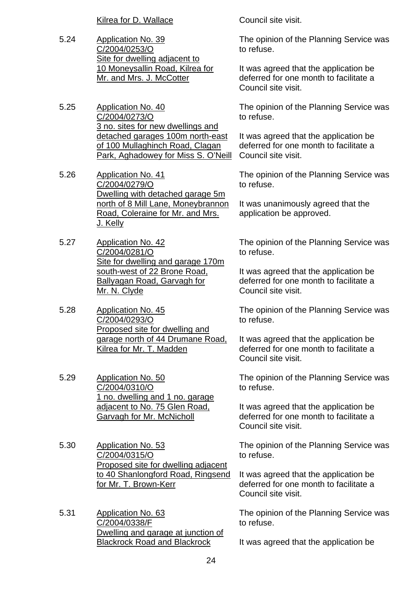Kilrea for D. Wallace Council site visit.

5.24 Application No. 39 C/2004/0253/O Site for dwelling adjacent to 10 Moneysallin Road, Kilrea for Mr. and Mrs. J. McCotter

5.25 Application No. 40 C/2004/0273/O 3 no. sites for new dwellings and detached garages 100m north-east of 100 Mullaghinch Road, Clagan Park, Aghadowey for Miss S. O'Neill

5.26 Application No. 41 C/2004/0279/O Dwelling with detached garage 5m north of 8 Mill Lane, Moneybrannon Road, Coleraine for Mr. and Mrs. J. Kelly

- 5.27 Application No. 42 C/2004/0281/O Site for dwelling and garage 170m south-west of 22 Brone Road, Ballyagan Road, Garvagh for Mr. N. Clyde
- 5.28 Application No. 45 C/2004/0293/O Proposed site for dwelling and garage north of 44 Drumane Road, Kilrea for Mr. T. Madden
- 5.29 Application No. 50 C/2004/0310/O 1 no. dwelling and 1 no. garage adjacent to No. 75 Glen Road, Garvagh for Mr. McNicholl

5.30 Application No. 53 C/2004/0315/O Proposed site for dwelling adjacent to 40 Shanlongford Road, Ringsend for Mr. T. Brown-Kerr

5.31 Application No. 63 C/2004/0338/F Dwelling and garage at junction of Blackrock Road and Blackrock

The opinion of the Planning Service was to refuse.

It was agreed that the application be deferred for one month to facilitate a Council site visit.

The opinion of the Planning Service was to refuse.

It was agreed that the application be deferred for one month to facilitate a Council site visit.

The opinion of the Planning Service was to refuse.

It was unanimously agreed that the application be approved.

The opinion of the Planning Service was to refuse.

It was agreed that the application be deferred for one month to facilitate a Council site visit.

The opinion of the Planning Service was to refuse.

It was agreed that the application be deferred for one month to facilitate a Council site visit.

The opinion of the Planning Service was to refuse.

It was agreed that the application be deferred for one month to facilitate a Council site visit.

The opinion of the Planning Service was to refuse.

It was agreed that the application be deferred for one month to facilitate a Council site visit.

The opinion of the Planning Service was to refuse.

It was agreed that the application be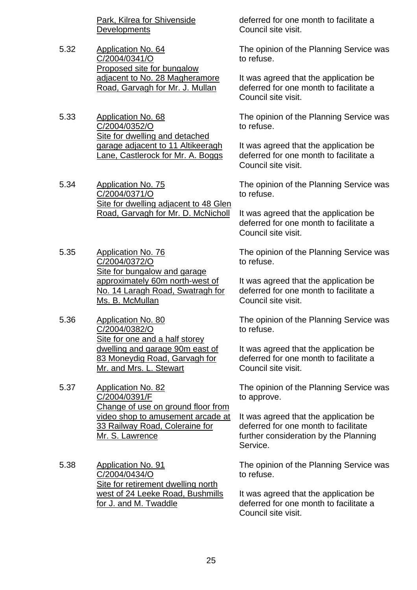Park, Kilrea for Shivenside **Developments** 

5.32 Application No. 64 C/2004/0341/O Proposed site for bungalow adjacent to No. 28 Magheramore Road, Garvagh for Mr. J. Mullan

5.33 Application No. 68 C/2004/0352/O Site for dwelling and detached garage adjacent to 11 Altikeeragh Lane, Castlerock for Mr. A. Boggs

5.34 Application No. 75 C/2004/0371/O Site for dwelling adjacent to 48 Glen Road, Garvagh for Mr. D. McNicholl

5.35 Application No. 76 C/2004/0372/O Site for bungalow and garage approximately 60m north-west of No. 14 Laragh Road, Swatragh for Ms. B. McMullan

5.36 Application No. 80 C/2004/0382/O Site for one and a half storey dwelling and garage 90m east of 83 Moneydig Road, Garvagh for Mr. and Mrs. L. Stewart

5.37 Application No. 82 C/2004/0391/F Change of use on ground floor from video shop to amusement arcade at 33 Railway Road, Coleraine for Mr. S. Lawrence

5.38 Application No. 91 C/2004/0434/O Site for retirement dwelling north west of 24 Leeke Road, Bushmills for J. and M. Twaddle

deferred for one month to facilitate a Council site visit.

The opinion of the Planning Service was to refuse.

It was agreed that the application be deferred for one month to facilitate a Council site visit.

The opinion of the Planning Service was to refuse.

It was agreed that the application be deferred for one month to facilitate a Council site visit.

The opinion of the Planning Service was to refuse.

It was agreed that the application be deferred for one month to facilitate a Council site visit.

The opinion of the Planning Service was to refuse.

It was agreed that the application be deferred for one month to facilitate a Council site visit.

The opinion of the Planning Service was to refuse.

It was agreed that the application be deferred for one month to facilitate a Council site visit.

The opinion of the Planning Service was to approve.

It was agreed that the application be deferred for one month to facilitate further consideration by the Planning Service.

The opinion of the Planning Service was to refuse.

It was agreed that the application be deferred for one month to facilitate a Council site visit.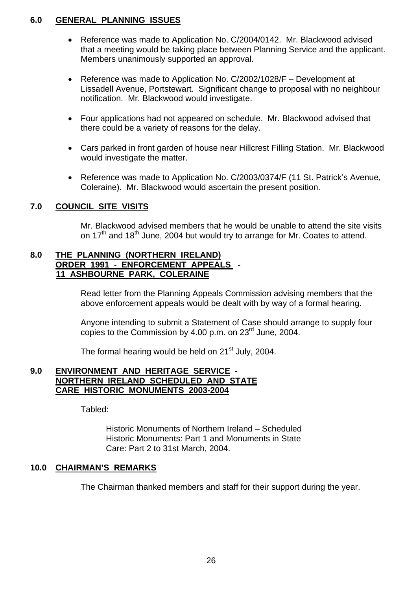## **6.0 GENERAL PLANNING ISSUES**

- Reference was made to Application No. C/2004/0142. Mr. Blackwood advised that a meeting would be taking place between Planning Service and the applicant. Members unanimously supported an approval.
- Reference was made to Application No. C/2002/1028/F Development at Lissadell Avenue, Portstewart. Significant change to proposal with no neighbour notification. Mr. Blackwood would investigate.
- Four applications had not appeared on schedule. Mr. Blackwood advised that there could be a variety of reasons for the delay.
- Cars parked in front garden of house near Hillcrest Filling Station. Mr. Blackwood would investigate the matter.
- Reference was made to Application No. C/2003/0374/F (11 St. Patrick's Avenue, Coleraine). Mr. Blackwood would ascertain the present position.

## **7.0 COUNCIL SITE VISITS**

 Mr. Blackwood advised members that he would be unable to attend the site visits on  $17<sup>th</sup>$  and  $18<sup>th</sup>$  June, 2004 but would try to arrange for Mr. Coates to attend.

## **8.0 THE PLANNING (NORTHERN IRELAND) ORDER 1991 - ENFORCEMENT APPEALS - 11 ASHBOURNE PARK, COLERAINE**

Read letter from the Planning Appeals Commission advising members that the above enforcement appeals would be dealt with by way of a formal hearing.

 Anyone intending to submit a Statement of Case should arrange to supply four copies to the Commission by 4.00 p.m. on  $23^{\text{rd}}$  June, 2004.

The formal hearing would be held on  $21<sup>st</sup>$  July, 2004.

#### **9.0 ENVIRONMENT AND HERITAGE SERVICE** -  **NORTHERN IRELAND SCHEDULED AND STATE CARE HISTORIC MONUMENTS 2003-2004**

Tabled:

 Historic Monuments of Northern Ireland – Scheduled Historic Monuments: Part 1 and Monuments in State Care: Part 2 to 31st March, 2004.

## **10.0 CHAIRMAN'S REMARKS**

The Chairman thanked members and staff for their support during the year.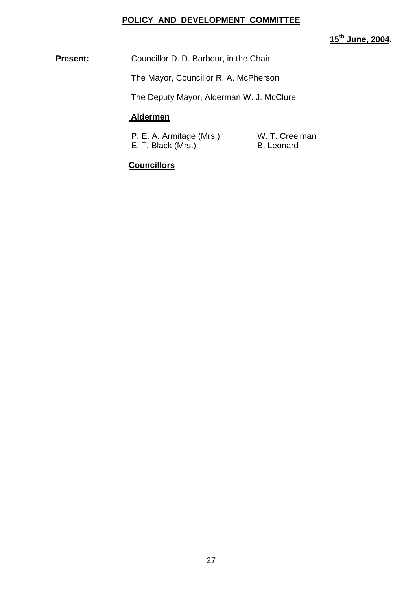## **POLICY AND DEVELOPMENT COMMITTEE**

**15th June, 2004.** 

**Present:** Councillor D. D. Barbour, in the Chair

The Mayor, Councillor R. A. McPherson

The Deputy Mayor, Alderman W. J. McClure

## **Aldermen**

P. E. A. Armitage (Mrs.) W. T. Creelman E. T. Black (Mrs.) B. Leonard

## **Councillors**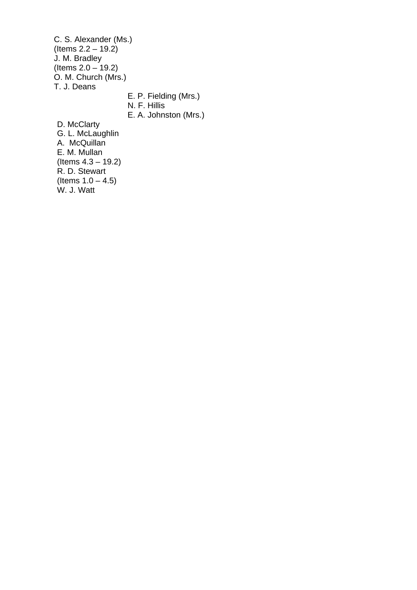C. S. Alexander (Ms.)  $($  ltems  $2.2 - 19.2)$ J. M. Bradley (Items 2.0 – 19.2) O. M. Church (Mrs.) T. J. Deans E. P. Fielding (Mrs.) N. F. Hillis E. A. Johnston (Mrs.) D. McClarty G. L. McLaughlin A. McQuillan E. M. Mullan (Items 4.3 – 19.2)

R. D. Stewart (Items  $1.0 - 4.5$ )

W. J. Watt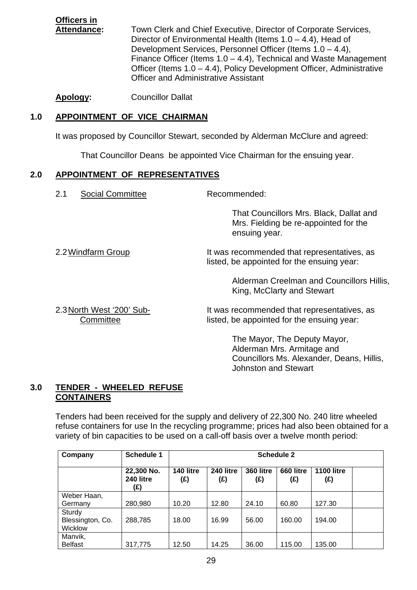**Officers in Attendance:** Town Clerk and Chief Executive, Director of Corporate Services, Director of Environmental Health (Items 1.0 – 4.4), Head of Development Services, Personnel Officer (Items 1.0 – 4.4), Finance Officer (Items 1.0 – 4.4), Technical and Waste Management Officer (Items 1.0 – 4.4), Policy Development Officer, Administrative Officer and Administrative Assistant

**Apology:** Councillor Dallat

## **1.0 APPOINTMENT OF VICE CHAIRMAN**

It was proposed by Councillor Stewart, seconded by Alderman McClure and agreed:

That Councillor Deans be appointed Vice Chairman for the ensuing year.

#### **2.0 APPOINTMENT OF REPRESENTATIVES**

2.1 Social Committee Recommended:

 That Councillors Mrs. Black, Dallat and Mrs. Fielding be re-appointed for the ensuing year.

2.2 Windfarm Group It was recommended that representatives, as listed, be appointed for the ensuing year:

> Alderman Creelman and Councillors Hillis, King, McClarty and Stewart

2.3 North West '200' Sub-<br>It was recommended that representatives, as Committee listed, be appointed for the ensuing year:

> The Mayor, The Deputy Mayor, Alderman Mrs. Armitage and Councillors Ms. Alexander, Deans, Hillis, Johnston and Stewart

## **3.0 TENDER - WHEELED REFUSE CONTAINERS**

Tenders had been received for the supply and delivery of 22,300 No. 240 litre wheeled refuse containers for use In the recycling programme; prices had also been obtained for a variety of bin capacities to be used on a call-off basis over a twelve month period:

| Company                               | <b>Schedule 1</b>              | <b>Schedule 2</b> |                  |                  |                  |                          |  |
|---------------------------------------|--------------------------------|-------------------|------------------|------------------|------------------|--------------------------|--|
|                                       | 22,300 No.<br>240 litre<br>(£) | 140 litre<br>(£)  | 240 litre<br>(£) | 360 litre<br>(£) | 660 litre<br>(£) | <b>1100 litre</b><br>(£) |  |
| Weber Haan,                           |                                |                   |                  |                  |                  |                          |  |
| Germany                               | 280,980                        | 10.20             | 12.80            | 24.10            | 60.80            | 127.30                   |  |
| Sturdy<br>Blessington, Co.<br>Wicklow | 288,785                        | 18.00             | 16.99            | 56.00            | 160.00           | 194.00                   |  |
| Manvik,<br><b>Belfast</b>             | 317.775                        | 12.50             | 14.25            | 36.00            | 115.00           | 135.00                   |  |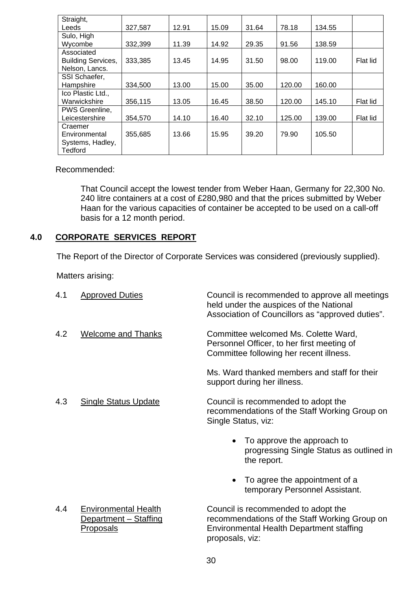| Straight,                 |         |       |       |       |        |        |          |
|---------------------------|---------|-------|-------|-------|--------|--------|----------|
| Leeds                     | 327,587 | 12.91 | 15.09 | 31.64 | 78.18  | 134.55 |          |
| Sulo, High                |         |       |       |       |        |        |          |
| Wycombe                   | 332,399 | 11.39 | 14.92 | 29.35 | 91.56  | 138.59 |          |
| Associated                |         |       |       |       |        |        |          |
| <b>Building Services,</b> | 333,385 | 13.45 | 14.95 | 31.50 | 98.00  | 119.00 | Flat lid |
| Nelson, Lancs.            |         |       |       |       |        |        |          |
| SSI Schaefer,             |         |       |       |       |        |        |          |
| Hampshire                 | 334,500 | 13.00 | 15.00 | 35.00 | 120.00 | 160.00 |          |
| Ico Plastic Ltd.,         |         |       |       |       |        |        |          |
| Warwickshire              | 356,115 | 13.05 | 16.45 | 38.50 | 120.00 | 145.10 | Flat lid |
| PWS Greenline,            |         |       |       |       |        |        |          |
| Leicestershire            | 354,570 | 14.10 | 16.40 | 32.10 | 125.00 | 139.00 | Flat lid |
| Craemer                   |         |       |       |       |        |        |          |
| Environmental             | 355,685 | 13.66 | 15.95 | 39.20 | 79.90  | 105.50 |          |
| Systems, Hadley,          |         |       |       |       |        |        |          |
| Tedford                   |         |       |       |       |        |        |          |

Recommended:

 That Council accept the lowest tender from Weber Haan, Germany for 22,300 No. 240 litre containers at a cost of £280,980 and that the prices submitted by Weber Haan for the various capacities of container be accepted to be used on a call-off basis for a 12 month period.

## **4.0 CORPORATE SERVICES REPORT**

The Report of the Director of Corporate Services was considered (previously supplied).

Matters arising:

| 4.1 | <b>Approved Duties</b>      | Council is recommended to approve all meetings<br>held under the auspices of the National<br>Association of Councillors as "approved duties". |
|-----|-----------------------------|-----------------------------------------------------------------------------------------------------------------------------------------------|
| 4.2 | <b>Welcome and Thanks</b>   | Committee welcomed Ms. Colette Ward,<br>Personnel Officer, to her first meeting of<br>Committee following her recent illness.                 |
|     |                             | Ms. Ward thanked members and staff for their<br>support during her illness.                                                                   |
| 4.3 | <b>Single Status Update</b> | Council is recommended to adopt the<br>recommendations of the Staff Working Group on<br>Single Status, viz:                                   |
|     |                             | To approve the approach to<br>$\bullet$<br>progressing Single Status as outlined in<br>the report.                                            |
|     |                             | To agree the appointment of a<br>$\bullet$<br>temporary Personnel Assistant.                                                                  |
| 4.4 | <b>Environmental Health</b> | Council is recommended to adopt the                                                                                                           |

**Department – Staffing recommendations of the Staff Working Group on** Proposals Environmental Health Department staffing proposals, viz: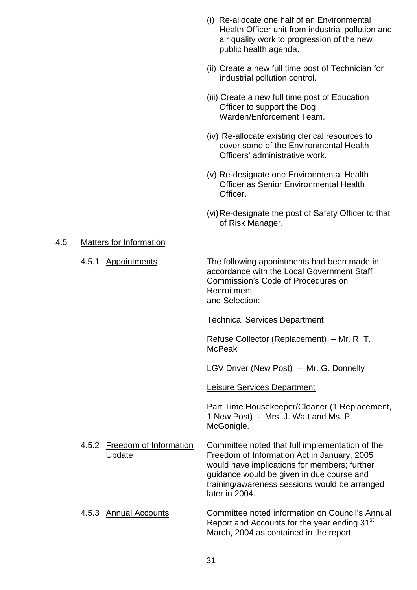- (i) Re-allocate one half of an Environmental Health Officer unit from industrial pollution and air quality work to progression of the new public health agenda.
- (ii) Create a new full time post of Technician for industrial pollution control.
- (iii) Create a new full time post of Education Officer to support the Dog Warden/Enforcement Team.
- (iv) Re-allocate existing clerical resources to cover some of the Environmental Health Officers' administrative work.
- (v) Re-designate one Environmental Health Officer as Senior Environmental Health Officer.
- (vi) Re-designate the post of Safety Officer to that of Risk Manager.

#### 4.5 Matters for Information

| 4.5.1 | Appointments                            | The following appointments had been made in<br>accordance with the Local Government Staff<br>Commission's Code of Procedures on<br>Recruitment<br>and Selection:                                                                                               |
|-------|-----------------------------------------|----------------------------------------------------------------------------------------------------------------------------------------------------------------------------------------------------------------------------------------------------------------|
|       |                                         | <b>Technical Services Department</b>                                                                                                                                                                                                                           |
|       |                                         | Refuse Collector (Replacement) - Mr. R. T.<br><b>McPeak</b>                                                                                                                                                                                                    |
|       |                                         | LGV Driver (New Post) - Mr. G. Donnelly                                                                                                                                                                                                                        |
|       |                                         | <b>Leisure Services Department</b>                                                                                                                                                                                                                             |
|       |                                         | Part Time Housekeeper/Cleaner (1 Replacement,<br>1 New Post) - Mrs. J. Watt and Ms. P.<br>McGonigle.                                                                                                                                                           |
| 4.5.2 | <b>Freedom of Information</b><br>Update | Committee noted that full implementation of the<br>Freedom of Information Act in January, 2005<br>would have implications for members; further<br>guidance would be given in due course and<br>training/awareness sessions would be arranged<br>later in 2004. |
|       | 4.5.3 Annual Accounts                   | Committee noted information on Council's Annual<br>Report and Accounts for the year ending 31 <sup>st</sup><br>March, 2004 as contained in the report.                                                                                                         |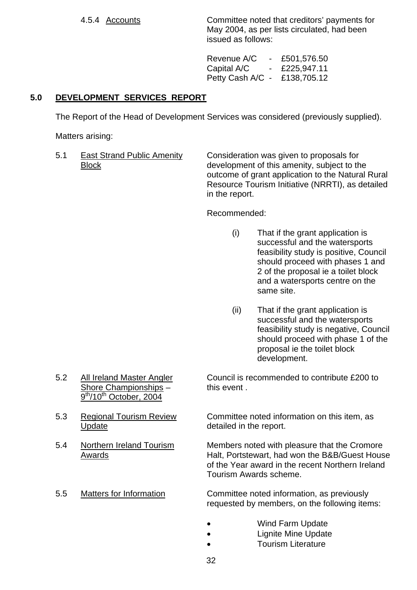4.5.4 Accounts Committee noted that creditors' payments for May 2004, as per lists circulated, had been issued as follows:

> Revenue A/C - £501,576.50 Capital A/C - £225,947.11 Petty Cash A/C - £138,705.12

## **5.0 DEVELOPMENT SERVICES REPORT**

The Report of the Head of Development Services was considered (previously supplied).

Matters arising:

 5.1 East Strand Public Amenity Consideration was given to proposals for Block development of this amenity, subject to the outcome of grant application to the Natural Rural Resource Tourism Initiative (NRRTI), as detailed in the report.

Recommended:

- (i) That if the grant application is successful and the watersports feasibility study is positive, Council should proceed with phases 1 and 2 of the proposal ie a toilet block and a watersports centre on the same site.
- (ii) That if the grant application is successful and the watersports feasibility study is negative, Council should proceed with phase 1 of the proposal ie the toilet block development.
- Shore Championships this event. 9<sup>th</sup>/10<sup>th</sup> October, 2004
- Update detailed in the report.
- 
- 

5.2 All Ireland Master Angler Council is recommended to contribute £200 to

5.3 Regional Tourism Review Committee noted information on this item, as

 5.4 Northern Ireland Tourism Members noted with pleasure that the Cromore Awards **Halt, Portstewart, had won the B&B/Guest House**  of the Year award in the recent Northern Ireland Tourism Awards scheme.

 5.5 Matters for Information Committee noted information, as previously requested by members, on the following items:

- **Wind Farm Update**
- Lignite Mine Update
- Tourism Literature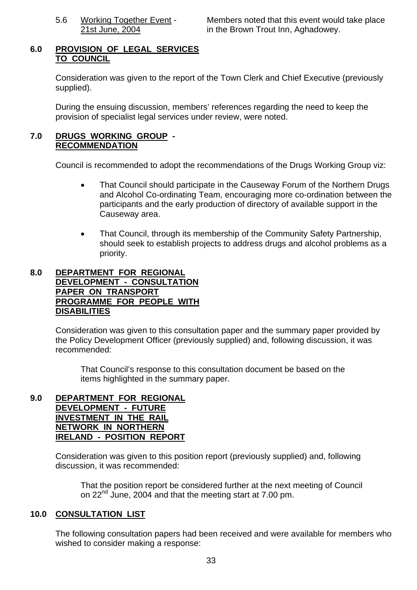5.6 Working Together Event - Members noted that this event would take place 21st June, 2004 in the Brown Trout Inn, Aghadowey.

## **6.0 PROVISION OF LEGAL SERVICES TO COUNCIL**

Consideration was given to the report of the Town Clerk and Chief Executive (previously supplied).

 During the ensuing discussion, members' references regarding the need to keep the provision of specialist legal services under review, were noted.

## **7.0 DRUGS WORKING GROUP - RECOMMENDATION**

Council is recommended to adopt the recommendations of the Drugs Working Group viz:

- That Council should participate in the Causeway Forum of the Northern Drugs and Alcohol Co-ordinating Team, encouraging more co-ordination between the participants and the early production of directory of available support in the Causeway area.
- That Council, through its membership of the Community Safety Partnership, should seek to establish projects to address drugs and alcohol problems as a priority.

## **8.0 DEPARTMENT FOR REGIONAL DEVELOPMENT - CONSULTATION PAPER ON TRANSPORT PROGRAMME FOR PEOPLE WITH DISABILITIES**

 Consideration was given to this consultation paper and the summary paper provided by the Policy Development Officer (previously supplied) and, following discussion, it was recommended:

 That Council's response to this consultation document be based on the items highlighted in the summary paper.

#### **9.0 DEPARTMENT FOR REGIONAL DEVELOPMENT - FUTURE INVESTMENT IN THE RAIL NETWORK IN NORTHERN IRELAND - POSITION REPORT**

Consideration was given to this position report (previously supplied) and, following discussion, it was recommended:

 That the position report be considered further at the next meeting of Council on 22<sup>nd</sup> June, 2004 and that the meeting start at 7.00 pm.

## **10.0 CONSULTATION LIST**

The following consultation papers had been received and were available for members who wished to consider making a response: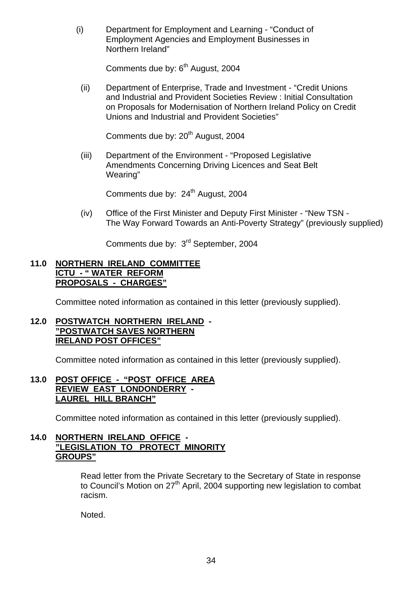(i) Department for Employment and Learning - "Conduct of Employment Agencies and Employment Businesses in Northern Ireland"

Comments due by: 6<sup>th</sup> August, 2004

 (ii) Department of Enterprise, Trade and Investment - "Credit Unions and Industrial and Provident Societies Review : Initial Consultation on Proposals for Modernisation of Northern Ireland Policy on Credit Unions and Industrial and Provident Societies"

Comments due by: 20<sup>th</sup> August, 2004

 (iii) Department of the Environment - "Proposed Legislative Amendments Concerning Driving Licences and Seat Belt Wearing"

Comments due by: 24<sup>th</sup> August, 2004

 (iv) Office of the First Minister and Deputy First Minister - "New TSN - The Way Forward Towards an Anti-Poverty Strategy" (previously supplied)

Comments due by: 3<sup>rd</sup> September, 2004

#### **11.0 NORTHERN IRELAND COMMITTEE ICTU - " WATER REFORM PROPOSALS - CHARGES"**

Committee noted information as contained in this letter (previously supplied).

## **12.0 POSTWATCH NORTHERN IRELAND - "POSTWATCH SAVES NORTHERN IRELAND POST OFFICES"**

Committee noted information as contained in this letter (previously supplied).

## **13.0 POST OFFICE - "POST OFFICE AREA REVIEW EAST LONDONDERRY - LAUREL HILL BRANCH"**

Committee noted information as contained in this letter (previously supplied).

## **14.0 NORTHERN IRELAND OFFICE - "LEGISLATION TO PROTECT MINORITY GROUPS"**

 Read letter from the Private Secretary to the Secretary of State in response to Council's Motion on 27<sup>th</sup> April, 2004 supporting new legislation to combat racism.

Noted.